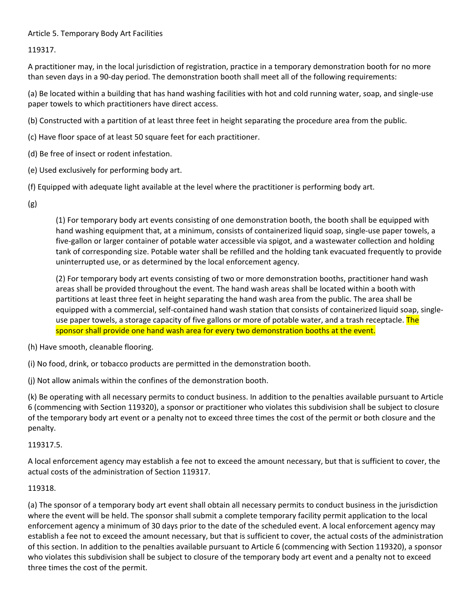## Article 5. Temporary Body Art Facilities

119317.

A practitioner may, in the local jurisdiction of registration, practice in a temporary demonstration booth for no more than seven days in a 90-day period. The demonstration booth shall meet all of the following requirements:

(a) Be located within a building that has hand washing facilities with hot and cold running water, soap, and single-use paper towels to which practitioners have direct access.

(b) Constructed with a partition of at least three feet in height separating the procedure area from the public.

(c) Have floor space of at least 50 square feet for each practitioner.

- (d) Be free of insect or rodent infestation.
- (e) Used exclusively for performing body art.

(f) Equipped with adequate light available at the level where the practitioner is performing body art.

(g)

(1) For temporary body art events consisting of one demonstration booth, the booth shall be equipped with hand washing equipment that, at a minimum, consists of containerized liquid soap, single-use paper towels, a five-gallon or larger container of potable water accessible via spigot, and a wastewater collection and holding tank of corresponding size. Potable water shall be refilled and the holding tank evacuated frequently to provide uninterrupted use, or as determined by the local enforcement agency.

(2) For temporary body art events consisting of two or more demonstration booths, practitioner hand wash areas shall be provided throughout the event. The hand wash areas shall be located within a booth with partitions at least three feet in height separating the hand wash area from the public. The area shall be equipped with a commercial, self-contained hand wash station that consists of containerized liquid soap, singleuse paper towels, a storage capacity of five gallons or more of potable water, and a trash receptacle. The sponsor shall provide one hand wash area for every two demonstration booths at the event.

(h) Have smooth, cleanable flooring.

(i) No food, drink, or tobacco products are permitted in the demonstration booth.

(j) Not allow animals within the confines of the demonstration booth.

(k) Be operating with all necessary permits to conduct business. In addition to the penalties available pursuant to Article 6 (commencing with Section 119320), a sponsor or practitioner who violates this subdivision shall be subject to closure of the temporary body art event or a penalty not to exceed three times the cost of the permit or both closure and the penalty.

## 119317.5.

A local enforcement agency may establish a fee not to exceed the amount necessary, but that is sufficient to cover, the actual costs of the administration of Section 119317.

## 119318.

(a) The sponsor of a temporary body art event shall obtain all necessary permits to conduct business in the jurisdiction where the event will be held. The sponsor shall submit a complete temporary facility permit application to the local enforcement agency a minimum of 30 days prior to the date of the scheduled event. A local enforcement agency may establish a fee not to exceed the amount necessary, but that is sufficient to cover, the actual costs of the administration of this section. In addition to the penalties available pursuant to Article 6 (commencing with Section 119320), a sponsor who violates this subdivision shall be subject to closure of the temporary body art event and a penalty not to exceed three times the cost of the permit.